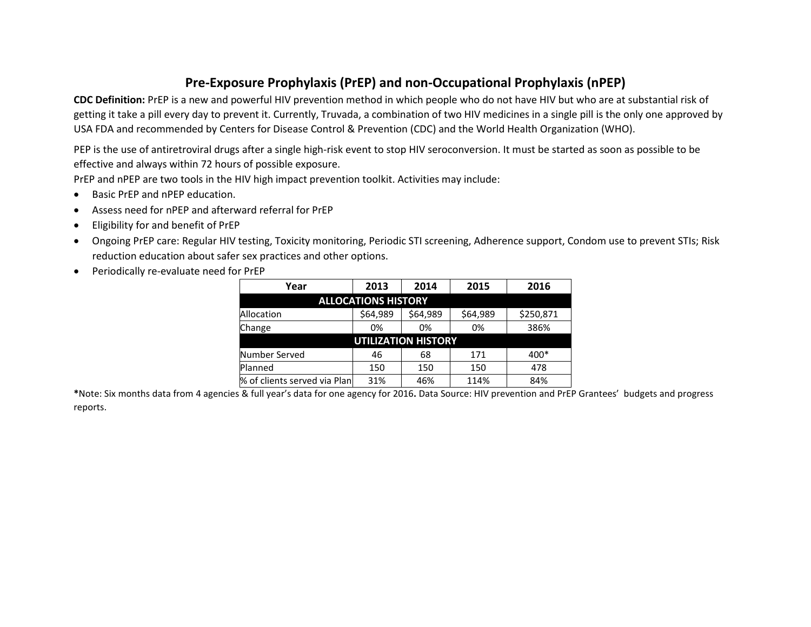## **Pre-Exposure Prophylaxis (PrEP) and non-Occupational Prophylaxis (nPEP)**

**CDC Definition:** PrEP is a new and powerful HIV prevention method in which people who do not have HIV but who are at substantial risk of getting it take a pill every day to prevent it. Currently, Truvada, a combination of two HIV medicines in a single pill is the only one approved by USA FDA and recommended by Centers for Disease Control & Prevention (CDC) and the World Health Organization (WHO).

PEP is the use of antiretroviral drugs after a single high-risk event to stop HIV seroconversion. It must be started as soon as possible to be effective and always within 72 hours of possible exposure.

PrEP and nPEP are two tools in the HIV high impact prevention toolkit. Activities may include:

- Basic PrEP and nPEP education.
- Assess need for nPEP and afterward referral for PrEP
- Eligibility for and benefit of PrEP
- Ongoing PrEP care: Regular HIV testing, Toxicity monitoring, Periodic STI screening, Adherence support, Condom use to prevent STIs; Risk reduction education about safer sex practices and other options.
- Periodically re-evaluate need for PrEP

| Year                         | 2013     | 2014     | 2015     | 2016      |
|------------------------------|----------|----------|----------|-----------|
| <b>ALLOCATIONS HISTORY</b>   |          |          |          |           |
| Allocation                   | \$64,989 | \$64,989 | \$64,989 | \$250,871 |
| Change                       | 0%       | 0%       | 0%       | 386%      |
| <b>UTILIZATION HISTORY</b>   |          |          |          |           |
| Number Served                | 46       | 68       | 171      | 400*      |
| Planned                      | 150      | 150      | 150      | 478       |
| % of clients served via Plan | 31%      | 46%      | 114%     | 84%       |

**\***Note: Six months data from 4 agencies & full year's data for one agency for 2016**.** Data Source: HIV prevention and PrEP Grantees' budgets and progress reports.